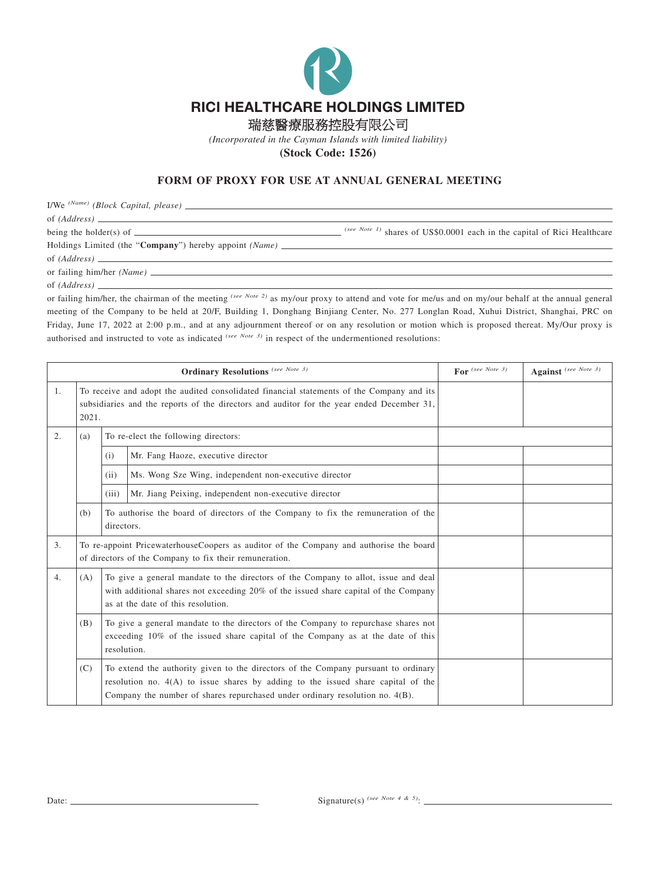

瑞慈醫療服務控股有限公司

*(Incorporated in the Cayman Islands with limited liability)*

**(Stock Code: 1526)**

## **FORM OF PROXY FOR USE AT ANNUAL GENERAL MEETING**

I/We *(Name) (Block Capital, please)*

of *(Address)*

being the holder(s) of **(See Note 1)** shares of US\$0.0001 each in the capital of Rici Healthcare

Holdings Limited (the "**Company**") hereby appoint *(Name)* of *(Address)*

or failing him/her *(Name)*

of *(Address)*

or failing him/her, the chairman of the meeting *(see Note 2)* as my/our proxy to attend and vote for me/us and on my/our behalf at the annual general meeting of the Company to be held at 20/F, Building 1, Donghang Binjiang Center, No. 277 Longlan Road, Xuhui District, Shanghai, PRC on Friday, June 17, 2022 at 2:00 p.m., and at any adjournment thereof or on any resolution or motion which is proposed thereat. My/Our proxy is authorised and instructed to vote as indicated *(see Note 3)* in respect of the undermentioned resolutions:

| <b>Ordinary Resolutions</b> (see Note 3) |                                                                                                                                                                                                                        |                                                                                                                                                                                                                                                          |                                                       | For $(see Note 3)$ | Against (see Note 3) |
|------------------------------------------|------------------------------------------------------------------------------------------------------------------------------------------------------------------------------------------------------------------------|----------------------------------------------------------------------------------------------------------------------------------------------------------------------------------------------------------------------------------------------------------|-------------------------------------------------------|--------------------|----------------------|
| 1.                                       | To receive and adopt the audited consolidated financial statements of the Company and its<br>subsidiaries and the reports of the directors and auditor for the year ended December 31,<br>2021.                        |                                                                                                                                                                                                                                                          |                                                       |                    |                      |
| 2.                                       | (a)                                                                                                                                                                                                                    | To re-elect the following directors:                                                                                                                                                                                                                     |                                                       |                    |                      |
|                                          |                                                                                                                                                                                                                        | (i)                                                                                                                                                                                                                                                      | Mr. Fang Haoze, executive director                    |                    |                      |
|                                          |                                                                                                                                                                                                                        | (ii)                                                                                                                                                                                                                                                     | Ms. Wong Sze Wing, independent non-executive director |                    |                      |
|                                          |                                                                                                                                                                                                                        | (iii)                                                                                                                                                                                                                                                    | Mr. Jiang Peixing, independent non-executive director |                    |                      |
|                                          | (b)                                                                                                                                                                                                                    | To authorise the board of directors of the Company to fix the remuneration of the<br>directors.                                                                                                                                                          |                                                       |                    |                      |
| 3.                                       |                                                                                                                                                                                                                        | To re-appoint PricewaterhouseCoopers as auditor of the Company and authorise the board<br>of directors of the Company to fix their remuneration.                                                                                                         |                                                       |                    |                      |
| 4.                                       | To give a general mandate to the directors of the Company to allot, issue and deal<br>(A)<br>with additional shares not exceeding 20% of the issued share capital of the Company<br>as at the date of this resolution. |                                                                                                                                                                                                                                                          |                                                       |                    |                      |
|                                          | (B)                                                                                                                                                                                                                    | To give a general mandate to the directors of the Company to repurchase shares not<br>exceeding 10% of the issued share capital of the Company as at the date of this<br>resolution.                                                                     |                                                       |                    |                      |
|                                          | (C)                                                                                                                                                                                                                    | To extend the authority given to the directors of the Company pursuant to ordinary<br>resolution no. $4(A)$ to issue shares by adding to the issued share capital of the<br>Company the number of shares repurchased under ordinary resolution no. 4(B). |                                                       |                    |                      |